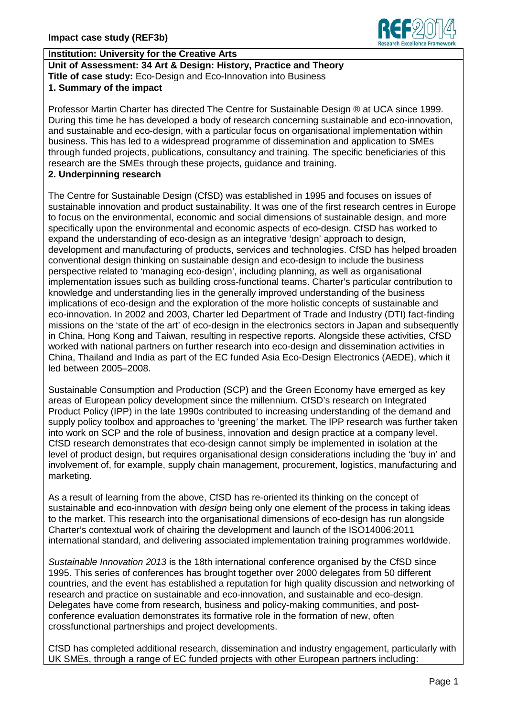

# **Institution: University for the Creative Arts**

**Unit of Assessment: 34 Art & Design: History, Practice and Theory**

# **Title of case study:** Eco-Design and Eco-Innovation into Business

**1. Summary of the impact** 

Professor Martin Charter has directed The Centre for Sustainable Design ® at UCA since 1999. During this time he has developed a body of research concerning sustainable and eco-innovation, and sustainable and eco-design, with a particular focus on organisational implementation within business. This has led to a widespread programme of dissemination and application to SMEs through funded projects, publications, consultancy and training. The specific beneficiaries of this research are the SMEs through these projects, guidance and training.

#### **2. Underpinning research**

The Centre for Sustainable Design (CfSD) was established in 1995 and focuses on issues of sustainable innovation and product sustainability. It was one of the first research centres in Europe to focus on the environmental, economic and social dimensions of sustainable design, and more specifically upon the environmental and economic aspects of eco-design. CfSD has worked to expand the understanding of eco-design as an integrative 'design' approach to design, development and manufacturing of products, services and technologies. CfSD has helped broaden conventional design thinking on sustainable design and eco-design to include the business perspective related to 'managing eco-design', including planning, as well as organisational implementation issues such as building cross-functional teams. Charter's particular contribution to knowledge and understanding lies in the generally improved understanding of the business implications of eco-design and the exploration of the more holistic concepts of sustainable and eco-innovation. In 2002 and 2003, Charter led Department of Trade and Industry (DTI) fact-finding missions on the 'state of the art' of eco-design in the electronics sectors in Japan and subsequently in China, Hong Kong and Taiwan, resulting in respective reports. Alongside these activities, CfSD worked with national partners on further research into eco-design and dissemination activities in China, Thailand and India as part of the EC funded Asia Eco-Design Electronics (AEDE), which it led between 2005–2008.

Sustainable Consumption and Production (SCP) and the Green Economy have emerged as key areas of European policy development since the millennium. CfSD's research on Integrated Product Policy (IPP) in the late 1990s contributed to increasing understanding of the demand and supply policy toolbox and approaches to 'greening' the market. The IPP research was further taken into work on SCP and the role of business, innovation and design practice at a company level. CfSD research demonstrates that eco-design cannot simply be implemented in isolation at the level of product design, but requires organisational design considerations including the 'buy in' and involvement of, for example, supply chain management, procurement, logistics, manufacturing and marketing.

As a result of learning from the above, CfSD has re-oriented its thinking on the concept of sustainable and eco-innovation with *design* being only one element of the process in taking ideas to the market. This research into the organisational dimensions of eco-design has run alongside Charter's contextual work of chairing the development and launch of the ISO14006:2011 international standard, and delivering associated implementation training programmes worldwide.

*Sustainable Innovation 2013* is the 18th international conference organised by the CfSD since 1995. This series of conferences has brought together over 2000 delegates from 50 different countries, and the event has established a reputation for high quality discussion and networking of research and practice on sustainable and eco-innovation, and sustainable and eco-design. Delegates have come from research, business and policy-making communities, and postconference evaluation demonstrates its formative role in the formation of new, often crossfunctional partnerships and project developments.

CfSD has completed additional research, dissemination and industry engagement, particularly with UK SMEs, through a range of EC funded projects with other European partners including: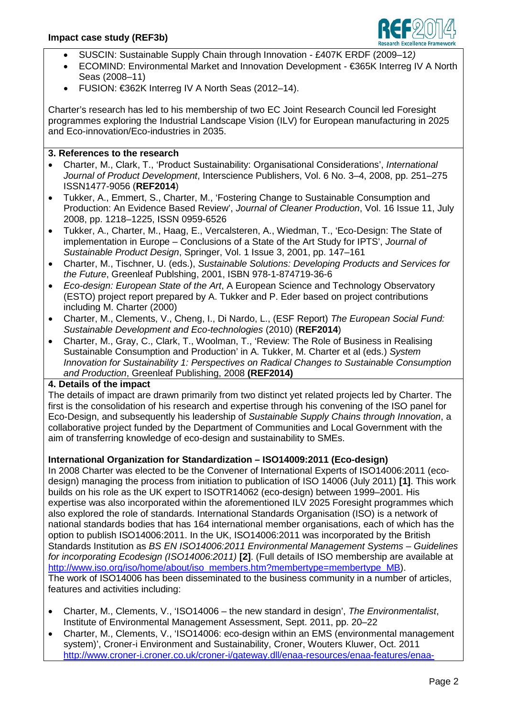

- SUSCIN: Sustainable Supply Chain through Innovation £407K ERDF (2009–12*)*
- ECOMIND: Environmental Market and Innovation Development €365K Interreg IV A North Seas (2008–11)
- FUSION: €362K Interreg IV A North Seas (2012–14).

Charter's research has led to his membership of two EC Joint Research Council led Foresight programmes exploring the Industrial Landscape Vision (ILV) for European manufacturing in 2025 and Eco-innovation/Eco-industries in 2035.

#### **3. References to the research**

- Charter, M., Clark, T., 'Product Sustainability: Organisational Considerations', *International Journal of Product Development*, Interscience Publishers, Vol. 6 No. 3–4, 2008, pp. 251–275 ISSN1477-9056 (**REF2014**)
- Tukker, A., Emmert, S., Charter, M., 'Fostering Change to Sustainable Consumption and Production: An Evidence Based Review', *Journal of Cleaner Production*, Vol. 16 Issue 11, July 2008, pp. 1218–1225, ISSN 0959-6526
- Tukker, A., Charter, M., Haag, E., Vercalsteren, A., Wiedman, T., 'Eco-Design: The State of implementation in Europe – Conclusions of a State of the Art Study for IPTS', *Journal of Sustainable Product Design*, Springer, Vol. 1 Issue 3, 2001, pp. 147–161
- Charter, M., Tischner, U. (eds.), *Sustainable Solutions: Developing Products and Services for the Future*, Greenleaf Publshing, 2001, ISBN 978-1-874719-36-6
- *Eco-design: European State of the Art*, A European Science and Technology Observatory (ESTO) project report prepared by A. Tukker and P. Eder based on project contributions including M. Charter (2000)
- Charter, M., Clements, V., Cheng, I., Di Nardo, L., (ESF Report) *The European Social Fund: Sustainable Development and Eco-technologies* (2010) (**REF2014**)
- Charter, M., Gray, C., Clark, T., Woolman, T., 'Review: The Role of Business in Realising Sustainable Consumption and Production' in A. Tukker, M. Charter et al (eds.) *System Innovation for Sustainability 1: Perspectives on Radical Changes to Sustainable Consumption and Production*, Greenleaf Publishing, 2008 **(REF2014)**

#### **4. Details of the impact**

The details of impact are drawn primarily from two distinct yet related projects led by Charter. The first is the consolidation of his research and expertise through his convening of the ISO panel for Eco-Design, and subsequently his leadership of *Sustainable Supply Chains through Innovation*, a collaborative project funded by the Department of Communities and Local Government with the aim of transferring knowledge of eco-design and sustainability to SMEs.

## **International Organization for Standardization – ISO14009:2011 (Eco-design)**

In 2008 Charter was elected to be the Convener of International Experts of ISO14006:2011 (ecodesign) managing the process from initiation to publication of ISO 14006 (July 2011) **[1]**. This work builds on his role as the UK expert to ISOTR14062 (eco-design) between 1999–2001. His expertise was also incorporated within the aforementioned ILV 2025 Foresight programmes which also explored the role of standards. International Standards Organisation (ISO) is a network of national standards bodies that has 164 international member organisations, each of which has the option to publish ISO14006:2011. In the UK, ISO14006:2011 was incorporated by the British Standards Institution as *BS EN ISO14006:2011 Environmental Management Systems – Guidelines for incorporating Ecodesign (ISO14006:2011)* **[2]**. (Full details of ISO membership are available at [http://www.iso.org/iso/home/about/iso\\_members.htm?membertype=membertype\\_MB\)](http://www.iso.org/iso/home/about/iso_members.htm?membertype=membertype_MB). The work of ISO14006 has been disseminated to the business community in a number of articles, features and activities including:

- Charter, M., Clements, V., 'ISO14006 the new standard in design', *The Environmentalist*, Institute of Environmental Management Assessment, Sept. 2011, pp. 20–22
- Charter, M., Clements, V., 'ISO14006: eco-design within an EMS (environmental management system)', Croner-i Environment and Sustainability, Croner, Wouters Kluwer, Oct. 2011 [http://www.croner-i.croner.co.uk/croner-i/gateway.dll/enaa-resources/enaa-features/enaa-](http://www.croner-i.croner.co.uk/croner-i/gateway.dll/enaa-resources/enaa-features/enaa-features-content/enaa-gold-features-dcam-5375710?f=templates$fn=enaa-frameset.htm$3.0)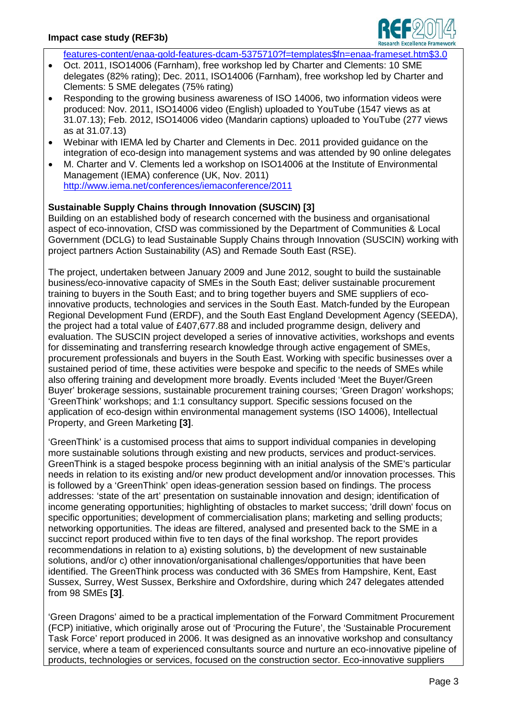

[features-content/enaa-gold-features-dcam-5375710?f=templates\\$fn=enaa-frameset.htm\\$3.0](http://www.croner-i.croner.co.uk/croner-i/gateway.dll/enaa-resources/enaa-features/enaa-features-content/enaa-gold-features-dcam-5375710?f=templates$fn=enaa-frameset.htm$3.0)

- Oct. 2011, ISO14006 (Farnham), free workshop led by Charter and Clements: 10 SME delegates (82% rating); Dec. 2011, ISO14006 (Farnham), free workshop led by Charter and Clements: 5 SME delegates (75% rating)
- Responding to the growing business awareness of ISO 14006, two information videos were produced: Nov. 2011, ISO14006 video (English) uploaded to YouTube (1547 views as at 31.07.13); Feb. 2012, ISO14006 video (Mandarin captions) uploaded to YouTube (277 views as at 31.07.13)
- Webinar with IEMA led by Charter and Clements in Dec. 2011 provided guidance on the integration of eco-design into management systems and was attended by 90 online delegates
- M. Charter and V. Clements led a workshop on ISO14006 at the Institute of Environmental Management (IEMA) conference (UK, Nov. 2011) <http://www.iema.net/conferences/iemaconference/2011>

### **Sustainable Supply Chains through Innovation (SUSCIN) [3]**

Building on an established body of research concerned with the business and organisational aspect of eco-innovation, CfSD was commissioned by the Department of Communities & Local Government (DCLG) to lead Sustainable Supply Chains through Innovation (SUSCIN) working with project partners Action Sustainability (AS) and Remade South East (RSE).

The project, undertaken between January 2009 and June 2012, sought to build the sustainable business/eco-innovative capacity of SMEs in the South East; deliver sustainable procurement training to buyers in the South East; and to bring together buyers and SME suppliers of ecoinnovative products, technologies and services in the South East. Match-funded by the European Regional Development Fund (ERDF), and the South East England Development Agency (SEEDA), the project had a total value of £407,677.88 and included programme design, delivery and evaluation. The SUSCIN project developed a series of innovative activities, workshops and events for disseminating and transferring research knowledge through active engagement of SMEs, procurement professionals and buyers in the South East. Working with specific businesses over a sustained period of time, these activities were bespoke and specific to the needs of SMEs while also offering training and development more broadly. Events included 'Meet the Buyer/Green Buyer' brokerage sessions, sustainable procurement training courses; 'Green Dragon' workshops; 'GreenThink' workshops; and 1:1 consultancy support. Specific sessions focused on the application of eco-design within environmental management systems (ISO 14006), Intellectual Property, and Green Marketing **[3]**.

'GreenThink' is a customised process that aims to support individual companies in developing more sustainable solutions through existing and new products, services and product-services. GreenThink is a staged bespoke process beginning with an initial analysis of the SME's particular needs in relation to its existing and/or new product development and/or innovation processes. This is followed by a 'GreenThink' open ideas-generation session based on findings. The process addresses: 'state of the art' presentation on sustainable innovation and design; identification of income generating opportunities; highlighting of obstacles to market success; 'drill down' focus on specific opportunities; development of commercialisation plans; marketing and selling products; networking opportunities. The ideas are filtered, analysed and presented back to the SME in a succinct report produced within five to ten days of the final workshop. The report provides recommendations in relation to a) existing solutions, b) the development of new sustainable solutions, and/or c) other innovation/organisational challenges/opportunities that have been identified. The GreenThink process was conducted with 36 SMEs from Hampshire, Kent, East Sussex, Surrey, West Sussex, Berkshire and Oxfordshire, during which 247 delegates attended from 98 SMEs **[3]**.

'Green Dragons' aimed to be a practical implementation of the Forward Commitment Procurement (FCP) initiative, which originally arose out of 'Procuring the Future', the 'Sustainable Procurement Task Force' report produced in 2006. It was designed as an innovative workshop and consultancy service, where a team of experienced consultants source and nurture an eco-innovative pipeline of products, technologies or services, focused on the construction sector. Eco-innovative suppliers